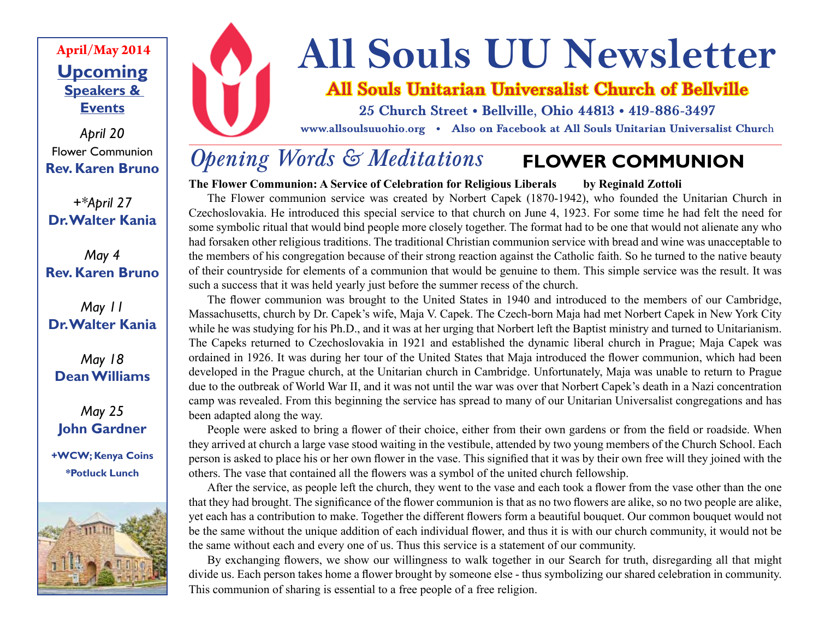### **Upcoming Speakers & Events April/May 2014**

*April 20* Flower Communion **Rev. Karen Bruno**

*+\*April 27* **Dr. Walter Kania**

*May 4* **Rev. Karen Bruno**

### *May 11* **Dr. Walter Kania**

*May 18* **Dean Williams**

*May 25* **John Gardner**

**+WCW; Kenya Coins \*Potluck Lunch**





# **All Souls UU Newsletter**

### **All Souls Unitarian Universalist Church of Bellville**

**25 Church Street • Bellville, Ohio 44813 • 419-886-3497**

**www.allsoulsuuohio.org • Also on Facebook at All Souls Unitarian Universalist Churc**h

#### *Opening Words & Meditations* **FLOWER COMMUNION**

**The Flower Communion: A Service of Celebration for Religious Liberals by Reginald Zottoli** 

The Flower communion service was created by Norbert Capek (1870-1942), who founded the Unitarian Church in Czechoslovakia. He introduced this special service to that church on June 4, 1923. For some time he had felt the need for some symbolic ritual that would bind people more closely together. The format had to be one that would not alienate any who had forsaken other religious traditions. The traditional Christian communion service with bread and wine was unacceptable to the members of his congregation because of their strong reaction against the Catholic faith. So he turned to the native beauty of their countryside for elements of a communion that would be genuine to them. This simple service was the result. It was such a success that it was held yearly just before the summer recess of the church.

The flower communion was brought to the United States in 1940 and introduced to the members of our Cambridge, Massachusetts, church by Dr. Capek's wife, Maja V. Capek. The Czech-born Maja had met Norbert Capek in New York City while he was studying for his Ph.D., and it was at her urging that Norbert left the Baptist ministry and turned to Unitarianism. The Capeks returned to Czechoslovakia in 1921 and established the dynamic liberal church in Prague; Maja Capek was ordained in 1926. It was during her tour of the United States that Maja introduced the flower communion, which had been developed in the Prague church, at the Unitarian church in Cambridge. Unfortunately, Maja was unable to return to Prague due to the outbreak of World War II, and it was not until the war was over that Norbert Capek's death in a Nazi concentration camp was revealed. From this beginning the service has spread to many of our Unitarian Universalist congregations and has been adapted along the way.

People were asked to bring a flower of their choice, either from their own gardens or from the field or roadside. When they arrived at church a large vase stood waiting in the vestibule, attended by two young members of the Church School. Each person is asked to place his or her own flower in the vase. This signified that it was by their own free will they joined with the others. The vase that contained all the flowers was a symbol of the united church fellowship.

After the service, as people left the church, they went to the vase and each took a flower from the vase other than the one that they had brought. The significance of the flower communion is that as no two flowers are alike, so no two people are alike, yet each has a contribution to make. Together the different flowers form a beautiful bouquet. Our common bouquet would not be the same without the unique addition of each individual flower, and thus it is with our church community, it would not be the same without each and every one of us. Thus this service is a statement of our community.

By exchanging flowers, we show our willingness to walk together in our Search for truth, disregarding all that might divide us. Each person takes home a flower brought by someone else - thus symbolizing our shared celebration in community. This communion of sharing is essential to a free people of a free religion.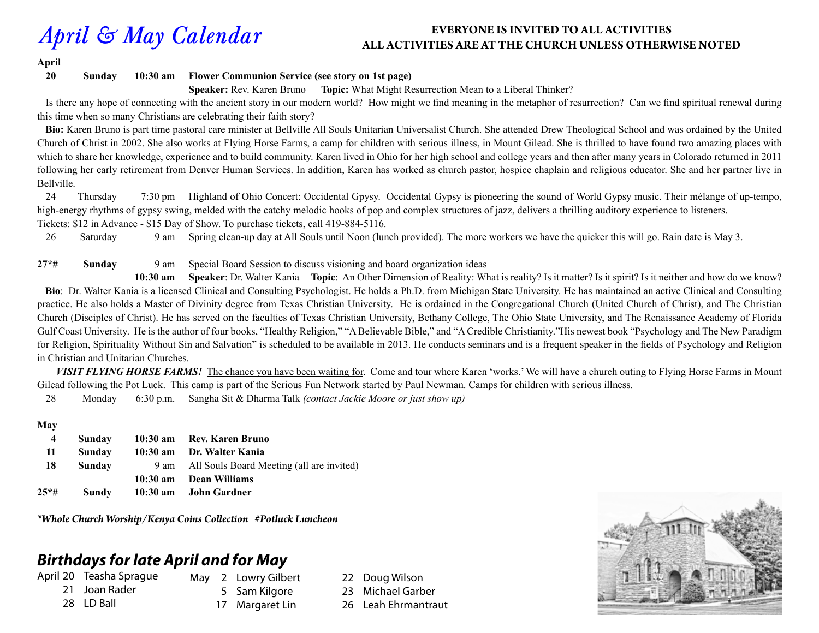#### *April & May Calendar* **EVERYONE IS INVITED TO ALL ACTIVITIES ALL ACTIVITIES ARE AT THE CHURCH UNLESS OTHERWISE NOTED**

**April**

**20 Sunday 10:30 am Flower Communion Service (see story on 1st page)**

**Speaker:** Rev. Karen Bruno **Topic:** What Might Resurrection Mean to a Liberal Thinker?

 Is there any hope of connecting with the ancient story in our modern world? How might we find meaning in the metaphor of resurrection? Can we find spiritual renewal during this time when so many Christians are celebrating their faith story?

 **Bio:** Karen Bruno is part time pastoral care minister at Bellville All Souls Unitarian Universalist Church. She attended Drew Theological School and was ordained by the United Church of Christ in 2002. She also works at Flying Horse Farms, a camp for children with serious illness, in Mount Gilead. She is thrilled to have found two amazing places with which to share her knowledge, experience and to build community. Karen lived in Ohio for her high school and college years and then after many years in Colorado returned in 2011 following her early retirement from Denver Human Services. In addition, Karen has worked as church pastor, hospice chaplain and religious educator. She and her partner live in Bellville.

24 Thursday 7:30 pm Highland of Ohio Concert: Occidental Gpysy. Occidental Gypsy is pioneering the sound of World Gypsy music. Their mélange of up-tempo, high-energy rhythms of gypsy swing, melded with the catchy melodic hooks of pop and complex structures of jazz, delivers a thrilling auditory experience to listeners. Tickets: \$12 in Advance - \$15 Day of Show. To purchase tickets, call 419-884-5116.

26 Saturday 9 am Spring clean-up day at All Souls until Noon (lunch provided). The more workers we have the quicker this will go. Rain date is May 3.

#### **27\*# Sunday** 9 am Special Board Session to discuss visioning and board organization ideas

 **10:30 am Speaker**: Dr. Walter Kania **Topic**: An Other Dimension of Reality: What is reality? Is it matter? Is it spirit? Is it neither and how do we know? **Bio**: Dr. Walter Kania is a licensed Clinical and Consulting Psychologist. He holds a Ph.D. from Michigan State University. He has maintained an active Clinical and Consulting practice. He also holds a Master of Divinity degree from Texas Christian University. He is ordained in the Congregational Church (United Church of Christ), and The Christian Church (Disciples of Christ). He has served on the faculties of Texas Christian University, Bethany College, The Ohio State University, and The Renaissance Academy of Florida Gulf Coast University. He is the author of four books, "Healthy Religion," "A Believable Bible," and "A Credible Christianity." His newest book "Psychology and The New Paradigm for Religion, Spirituality Without Sin and Salvation" is scheduled to be available in 2013. He conducts seminars and is a frequent speaker in the fields of Psychology and Religion in Christian and Unitarian Churches.

 *VISIT FLYING HORSE FARMS!* The chance you have been waiting for. Come and tour where Karen 'works.' We will have a church outing to Flying Horse Farms in Mount Gilead following the Pot Luck. This camp is part of the Serious Fun Network started by Paul Newman. Camps for children with serious illness.

28 Monday 6:30 p.m. Sangha Sit & Dharma Talk *(contact Jackie Moore or just show up)*

#### **May**

| 4    | Sunday | 10:30 am Rev. Karen Bruno                      |
|------|--------|------------------------------------------------|
| 11   | Sunday | 10:30 am Dr. Walter Kania                      |
| 18   | Sunday | 9 am All Souls Board Meeting (all are invited) |
|      |        | 10:30 am Dean Williams                         |
| 25*# | Sundy  | 10:30 am John Gardner                          |

*\*Whole Church Worship/Kenya Coins Collection #Potluck Luncheon*

### *Birthdays for late April and for May*

April 20 Teasha Sprague 21 Joan Rader

28 LD Ball

- May 2 Lowry Gilbert
- 5 Sam Kilgore
	- 17 Margaret Lin
- 22 Doug Wilson
- 23 Michael Garber
- 26 Leah Ehrmantraut

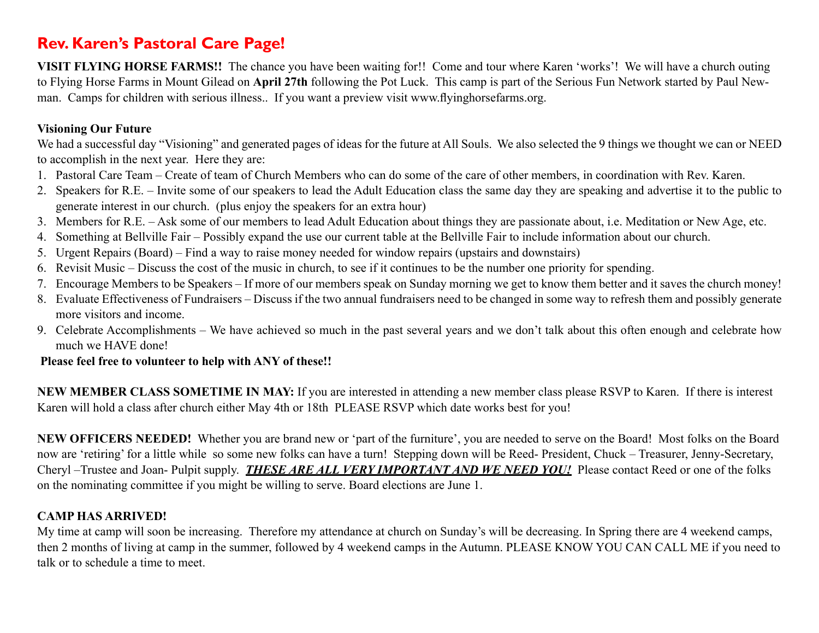### **Rev. Karen's Pastoral Care Page!**

**VISIT FLYING HORSE FARMS!!** The chance you have been waiting for!! Come and tour where Karen 'works'! We will have a church outing to Flying Horse Farms in Mount Gilead on **April 27th** following the Pot Luck. This camp is part of the Serious Fun Network started by Paul Newman. Camps for children with serious illness.. If you want a preview visit www.flyinghorsefarms.org.

### **Visioning Our Future**

We had a successful day "Visioning" and generated pages of ideas for the future at All Souls. We also selected the 9 things we thought we can or NEED to accomplish in the next year. Here they are:

- 1. Pastoral Care Team Create of team of Church Members who can do some of the care of other members, in coordination with Rev. Karen.
- 2. Speakers for R.E. Invite some of our speakers to lead the Adult Education class the same day they are speaking and advertise it to the public to generate interest in our church. (plus enjoy the speakers for an extra hour)
- 3. Members for R.E. Ask some of our members to lead Adult Education about things they are passionate about, i.e. Meditation or New Age, etc.
- 4. Something at Bellville Fair Possibly expand the use our current table at the Bellville Fair to include information about our church.
- 5. Urgent Repairs (Board) Find a way to raise money needed for window repairs (upstairs and downstairs)
- 6. Revisit Music Discuss the cost of the music in church, to see if it continues to be the number one priority for spending.
- 7. Encourage Members to be Speakers If more of our members speak on Sunday morning we get to know them better and it saves the church money!
- 8. Evaluate Effectiveness of Fundraisers Discuss if the two annual fundraisers need to be changed in some way to refresh them and possibly generate more visitors and income.
- 9. Celebrate Accomplishments We have achieved so much in the past several years and we don't talk about this often enough and celebrate how much we HAVE done!

#### **Please feel free to volunteer to help with ANY of these!!**

**NEW MEMBER CLASS SOMETIME IN MAY:** If you are interested in attending a new member class please RSVP to Karen. If there is interest Karen will hold a class after church either May 4th or 18th PLEASE RSVP which date works best for you!

**NEW OFFICERS NEEDED!** Whether you are brand new or 'part of the furniture', you are needed to serve on the Board! Most folks on the Board now are 'retiring' for a little while so some new folks can have a turn! Stepping down will be Reed- President, Chuck – Treasurer, Jenny-Secretary, Cheryl –Trustee and Joan- Pulpit supply. *THESE ARE ALL VERY IMPORTANT AND WE NEED YOU!* Please contact Reed or one of the folks on the nominating committee if you might be willing to serve. Board elections are June 1.

### **CAMP HAS ARRIVED!**

My time at camp will soon be increasing. Therefore my attendance at church on Sunday's will be decreasing. In Spring there are 4 weekend camps, then 2 months of living at camp in the summer, followed by 4 weekend camps in the Autumn. PLEASE KNOW YOU CAN CALL ME if you need to talk or to schedule a time to meet.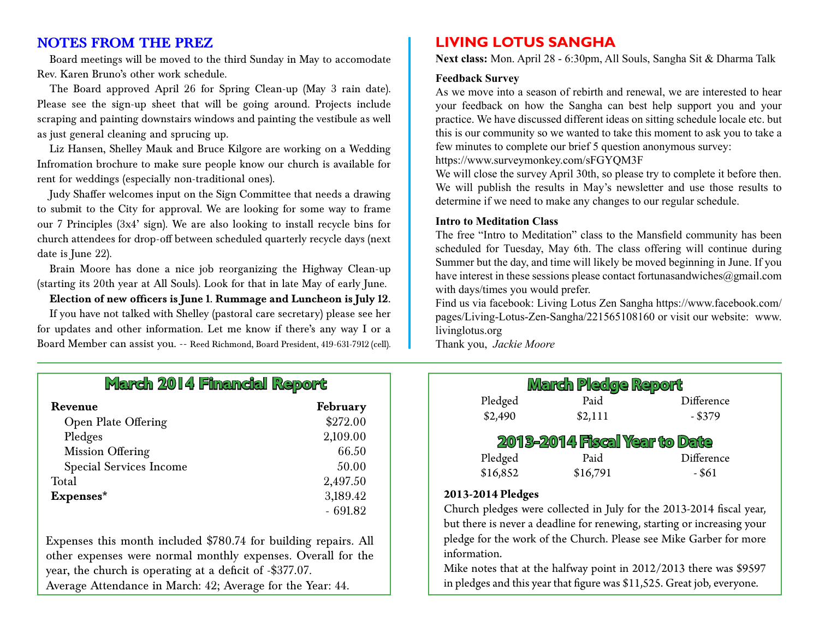#### **NOTES FROM THE PREZ**

Board meetings will be moved to the third Sunday in May to accomodate Rev. Karen Bruno's other work schedule.

The Board approved April 26 for Spring Clean-up (May 3 rain date). Please see the sign-up sheet that will be going around. Projects include scraping and painting downstairs windows and painting the vestibule as well as just general cleaning and sprucing up.

Liz Hansen, Shelley Mauk and Bruce Kilgore are working on a Wedding Infromation brochure to make sure people know our church is available for rent for weddings (especially non-traditional ones).

Judy Shaffer welcomes input on the Sign Committee that needs a drawing to submit to the City for approval. We are looking for some way to frame our 7 Principles (3x4' sign). We are also looking to install recycle bins for church attendees for drop-off between scheduled quarterly recycle days (next date is June 22).

Brain Moore has done a nice job reorganizing the Highway Clean-up (starting its 20th year at All Souls). Look for that in late May of early June.

#### **Election of new officers is June 1. Rummage and Luncheon is July 12.**

If you have not talked with Shelley (pastoral care secretary) please see her for updates and other information. Let me know if there's any way I or a Board Member can assist you. -- Reed Richmond, Board President, 419-631-7912 (cell).

### **LIVING LOTUS SANGHA**

**Next class:** Mon. April 28 - 6:30pm, All Souls, Sangha Sit & Dharma Talk

#### **Feedback Survey**

As we move into a season of rebirth and renewal, we are interested to hear your feedback on how the Sangha can best help support you and your practice. We have discussed different ideas on sitting schedule locale etc. but this is our community so we wanted to take this moment to ask you to take a few minutes to complete our brief 5 question anonymous survey:

https://www.surveymonkey.com/sFGYQM3F

We will close the survey April 30th, so please try to complete it before then. We will publish the results in May's newsletter and use those results to determine if we need to make any changes to our regular schedule.

#### **Intro to Meditation Class**

The free "Intro to Meditation" class to the Mansfield community has been scheduled for Tuesday, May 6th. The class offering will continue during Summer but the day, and time will likely be moved beginning in June. If you have interest in these sessions please contact fortunasandwiches@gmail.com with days/times you would prefer.

Find us via facebook: Living Lotus Zen Sangha https://www.facebook.com/ pages/Living-Lotus-Zen-Sangha/221565108160 or visit our website: www. livinglotus.org

Thank you, *Jackie Moore*

| Pledged  | Paid                          | Difference |
|----------|-------------------------------|------------|
| \$2,490  | \$2,111                       | $-$ \$379  |
| Pledged  | Paid                          | Difference |
|          | 2013-2014 Fiscal Year to Date |            |
| \$16,852 | \$16,791                      | - \$61     |

Church pledges were collected in July for the 2013-2014 fiscal year, but there is never a deadline for renewing, starting or increasing your pledge for the work of the Church. Please see Mike Garber for more information.

Mike notes that at the halfway point in 2012/2013 there was \$9597 in pledges and this year that figure was \$11,525. Great job, everyone.

### **March 2014 Financial Report**

| Revenue                        | February  |
|--------------------------------|-----------|
| <b>Open Plate Offering</b>     | \$272.00  |
| Pledges                        | 2,109.00  |
| <b>Mission Offering</b>        | 66.50     |
| <b>Special Services Income</b> | 50.00     |
| Total                          | 2,497.50  |
| Expenses*                      | 3,189.42  |
|                                | $-691.82$ |

Expenses this month included \$780.74 for building repairs. All other expenses were normal monthly expenses. Overall for the year, the church is operating at a deficit of -\$377.07. Average Attendance in March: 42; Average for the Year: 44.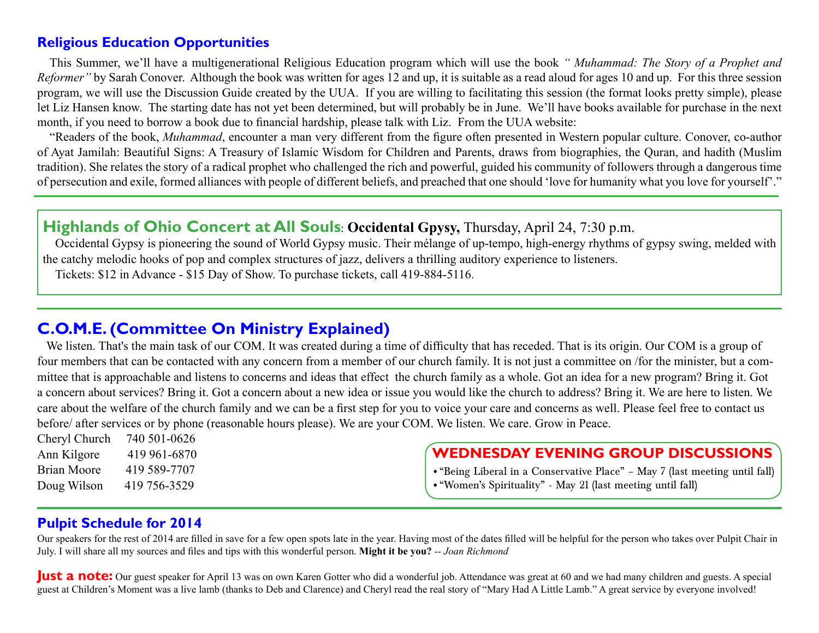### **Religious Education Opportunities**

This Summer, we'll have a multigenerational Religious Education program which will use the book *" Muhammad: The Story of a Prophet and Reformer"* by Sarah Conover. Although the book was written for ages 12 and up, it is suitable as a read aloud for ages 10 and up. For this three session program, we will use the Discussion Guide created by the UUA. If you are willing to facilitating this session (the format looks pretty simple), please let Liz Hansen know. The starting date has not yet been determined, but will probably be in June. We'll have books available for purchase in the next month, if you need to borrow a book due to financial hardship, please talk with Liz. From the UUA website:

"Readers of the book, *Muhammad*, encounter a man very different from the figure often presented in Western popular culture. Conover, co-author of Ayat Jamilah: Beautiful Signs: A Treasury of Islamic Wisdom for Children and Parents, draws from biographies, the Quran, and hadith (Muslim tradition). She relates the story of a radical prophet who challenged the rich and powerful, guided his community of followers through a dangerous time of persecution and exile, formed alliances with people of different beliefs, and preached that one should 'love for humanity what you love for yourself'."

### **Highlands of Ohio Concert at All Souls**: **Occidental Gpysy,** Thursday, April 24, 7:30 p.m.

Occidental Gypsy is pioneering the sound of World Gypsy music. Their mélange of up-tempo, high-energy rhythms of gypsy swing, melded with the catchy melodic hooks of pop and complex structures of jazz, delivers a thrilling auditory experience to listeners. Tickets: \$12 in Advance - \$15 Day of Show. To purchase tickets, call 419-884-5116.

### **C.O.M.E. (Committee On Ministry Explained)**

 We listen. That's the main task of our COM. It was created during a time of difficulty that has receded. That is its origin. Our COM is a group of four members that can be contacted with any concern from a member of our church family. It is not just a committee on /for the minister, but a committee that is approachable and listens to concerns and ideas that effect the church family as a whole. Got an idea for a new program? Bring it. Got a concern about services? Bring it. Got a concern about a new idea or issue you would like the church to address? Bring it. We are here to listen. We care about the welfare of the church family and we can be a first step for you to voice your care and concerns as well. Please feel free to contact us before/ after services or by phone (reasonable hours please). We are your COM. We listen. We care. Grow in Peace.

Cheryl Church 740 501-0626 Ann Kilgore 419 961-6870 Brian Moore 419 589-7707 Doug Wilson 419 756-3529

### **WEDNESDAY EVENING GROUP DISCUSSIONS**

- "Being Liberal in a Conservative Place" May 7 (last meeting until fall)
- • "Women's Spirituality" May 21 (last meeting until fall)

### **Pulpit Schedule for 2014**

Our speakers for the rest of 2014 are filled in save for a few open spots late in the year. Having most of the dates filled will be helpful for the person who takes over Pulpit Chair in July. I will share all my sources and files and tips with this wonderful person. **Might it be you?** *-- Joan Richmond*

**Just a note:** Our guest speaker for April 13 was on own Karen Gotter who did a wonderful job. Attendance was great at 60 and we had many children and guests. A special guest at Children's Moment was a live lamb (thanks to Deb and Clarence) and Cheryl read the real story of "Mary Had A Little Lamb." A great service by everyone involved!